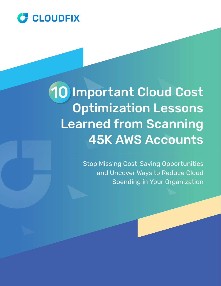

# 10 Important Cloud Cost 10Optimization Lessons Learned from Scanning 45K AWS Accounts

Stop Missing Cost-Saving Opportunities and Uncover Ways to Reduce Cloud Spending in Your Organization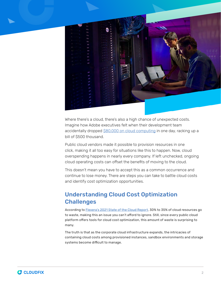

Where there's a cloud, there's also a high chance of unexpected costs. Imagine how Adobe executives felt when their development team accidentally dropped [\\$80,000 on cloud computing](https://www.teampay.co/insights/manage-cloud-costs/) in one day, racking up a bill of \$500 thousand.

Public cloud vendors made it possible to provision resources in one click, making it all too easy for situations like this to happen. Now, cloud overspending happens in nearly every company. If left unchecked, ongoing cloud operating costs can offset the benefits of moving to the cloud.

This doesn't mean you have to accept this as a common occurrence and continue to lose money. There are steps you can take to battle cloud costs and identify cost optimization opportunities.

# Understanding Cloud Cost Optimization **Challenges**

According to [Flexera's 2021 State of the Cloud Report](https://info.flexera.com/CM-REPORT-State-of-the-Cloud), 30% to 35% of cloud resources go to waste, making this an issue you can't afford to ignore. Still, since every public cloud platform offers tools for cloud cost optimization, this amount of waste is surprising to many.

The truth is that as the corporate cloud infrastructure expands, the intricacies of containing cloud costs among provisioned instances, sandbox environments and storage systems become difficult to manage.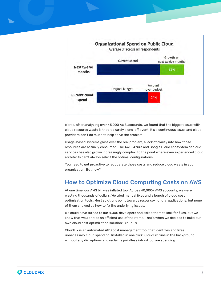

Worse, after analyzing over 45,000 AWS accounts, we found that the biggest issue with cloud resource waste is that it's rarely a one-off event. It's a continuous issue, and cloud providers don't do much to help solve the problem.

Usage-based systems gloss over the real problem, a lack of clarity into how those resources are actually consumed. The AWS, Azure and Google Cloud ecosystem of cloud services has also grown increasingly complex, to the point where even experienced cloud architects can't always select the optimal configurations.

You need to get proactive to recuperate those costs and reduce cloud waste in your organization. But how?

# How to Optimize Cloud Computing Costs on AWS

At one time, our AWS bill was inflated too. Across 40,000+ AWS accounts, we were wasting thousands of dollars. We tried manual fixes and a bunch of cloud cost optimization tools. Most solutions point towards resource-hungry applications, but none of them showed us how to fix the underlying issues.

We could have turned to our 4,000 developers and asked them to look for fixes, but we knew that wouldn't be an efficient use of their time. That's when we decided to build our own cloud cost optimization solution: CloudFix.

CloudFix is an automated AWS cost management tool that identifies and fixes unnecessary cloud spending. Installed in one click, CloudFix runs in the background without any disruptions and reclaims pointless infrastructure spending.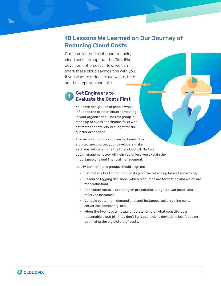# 10 Lessons We Learned on Our Journey of Reducing Cloud Costs

Our team learned a lot about reducing cloud costs throughout the CloudFix development process. Now, we can share these cloud savings tips with you. If you want to reduce cloud waste, here are the steps you can take.

#### Get Engineers to Evaluate the Costs First 1

You have two groups of people who'll influence the costs of cloud computing in your organization. The first group is made up of execs and finance folks who estimate the total cloud budget for the quarter or the year.

The second group is engineering teams. The architecture choices your developers make each day will determine the total cloud bill. No AWS cost management tool will help you unless you explain the importance of cloud financial management.

Ideally, both of these groups should align on:

- Estimated cloud computing costs (and the reasoning behind some caps)
- Resource tagging decisions (which resources are for testing and which are for production)
- Consistent costs spending on predictable, budgeted workloads and reserved instances.
- Variable costs on-demand and spot instances, auto-scaling costs, serverless computing, etc.
- When the two have a mutual understanding of what constitutes a reasonable cloud bill, they don't fight over subtle deviations but focus on optimizing the big picture of costs.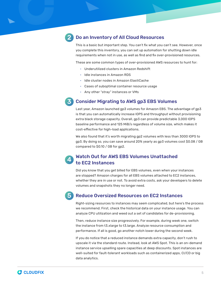

### Do an Inventory of All Cloud Resources

This is a basic but important step. You can't fix what you can't see. However, once you complete this inventory, you can set up automation for shutting down idle requirements when not in use, as well as find and fix over-provisioned resources.

These are some common types of over-provisioned AWS resources to hunt for:

- Underutilized clusters in Amazon Redshift
- Idle instances in Amazon RDS
- Idle cluster nodes in Amazon ElastiCache
- Cases of suboptimal container resource usage
- Any other "stray" instances or VMs

#### Consider Migrating to AWS gp3 EBS Volumes 3

Last year, Amazon launched gp3 volumes for Amazon EBS. The advantage of gp3 is that you can automatically increase IOPS and throughput without provisioning extra black storage capacity. Overall, gp3 can provide predictable 3,000 IOPS baseline performance and 125 MiB/s regardless of volume size, which makes it cost-effective for high-load applications.

We also found that it's worth migrating gp2 volumes with less than 3000 IOPS to gp3. By doing so, you can save around 20% yearly as gp3 volumes cost \$0.08 / GB compared to \$0.10 / GB for gp2.

#### Watch Out for AWS EBS Volumes Unattached to EC2 Instances 4

Did you know that you get billed for EBS volumes, even when your instances are stopped? Amazon charges for all EBS volumes attached to EC2 instances, whether they are in use or not. To avoid extra costs, ask your developers to delete volumes and snapshots they no longer need.

# 5

### Reduce Oversized Resources on EC2 Instances

Right-sizing resources to instances may seem complicated, but here's the process we recommend. First, check the historical data on your instance usage. You can analyze CPU utilization and weed out a set of candidates for de-provisioning.

Then, reduce instance size progressively. For example, during week one, switch the instance from t3.xlarge to t3.large. Analyze resource consumption and performance. If all is good, go another notch lower during the second week.

If you do notice that a reduced instance demands extra capacity, don't rush to upscale it via the standard route. Instead, look at AWS Spot. This is an on-demand instance service upselling spare capacities at deep discounts. Spot instances are well-suited for fault-tolerant workloads such as containerized apps, CI/CD or big data analytics.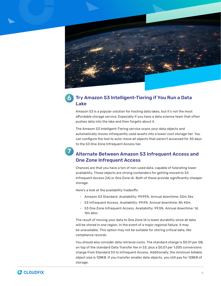

#### Try Amazon S3 Intelligent-Tiering if You Run a Data Lake 6

Amazon S3 is a popular solution for hosting data lakes, but it's not the most affordable storage service. Especially if you have a data science team that often pushes data into the lake and then forgets about it.

The Amazon S3 Intelligent-Tiering service scans your data objects and automatically moves infrequently used assets into a lower-cost storage tier. You can configure the tool to auto-move all objects that weren't accessed for 30 days to the S3 One Zone Infrequent Access tier.

### Alternate Between Amazon S3 Infrequent Access and One Zone Infrequent Access 7

Chances are that you have a ton of non-used data, capable of tolerating lower availability. Those objects are strong contenders for getting moved to S3 Infrequent Access (IA) or One Zone IA. Both of these provide significantly cheaper storage.

Here's a look at the availability tradeoffs:

- Amazon S3 Standard. Availability: 99.99%. Annual downtime: 52m 36s
- S3 Infrequent Access. Availability: 99.9%. Annual downtime: 8h 45m
- S3 One Zone Infrequent Access. Availability: 99.5%. Annual downtime: 1d, 19h 49m

The result of moving your data to One Zone IA is lower durability since all data will be stored in one region. In the event of a major regional failure, it may be unavailable. This option may not be suitable for storing critical data, like compliance records.

You should also consider data retrieval costs. The standard charge is \$0.01 per GB, on top of the standard Data Transfer fee in S3, plus a \$0.01 per 1,000 conversions charge from Standard S3 to Infrequent Access. Additionally, the minimum billable object size is 128KB. If you transfer smaller data objects, you still pay for 128KB of storage.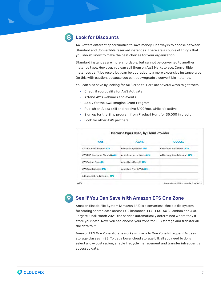

AWS offers different opportunities to save money. One way is to choose between Standard and Convertible reserved instances. There are a couple of things that you should know to make the best choices for your organization.

Standard instances are more affordable, but cannot be converted to another instance type. However, you can sell them on AWS Marketplace. Convertible instances can't be resold but can be upgraded to a more expensive instance type. Do this with caution, because you can't downgrade a convertible instance.

You can also save by looking for AWS credits. Here are several ways to get them:

- Check if you qualify for AWS Activate
- Attend AWS webinars and events
- Apply for the AWS Imagine Grant Program
- Publish an Alexa skill and receive \$100/mo. while it's active
- Sign up for the Ship program from Product Hunt for \$5,000 in credit
- Look for other AWS partners

9

| <b>AWS</b>                        | <b>AZURE</b>                        | <b>GOOGLE</b>                   |
|-----------------------------------|-------------------------------------|---------------------------------|
| <b>AWS Reserved Instances 52%</b> | <b>Enterprise Agreement 49%</b>     | Committed use discounts 61%     |
| AWS EDP (Enterprise Discount) 44% | <b>Azure Reserved Instances 46%</b> | Ad hoc negotiated discounts 48% |
| AWS Savings Plan 44%              | Azure Hybrid Benefit 37%            |                                 |
| AWS Spot Instances 37%            | Azure Low Priority VMs 28%          |                                 |
| Ad hoc negotiated discounts 26%   |                                     |                                 |

### See if You Can Save With Amazon EFS One Zone

Amazon Elastic File System (Amazon EFS) is a serverless, flexible file system for storing shared data across EC2 instances, ECS, EKS, AWS Lambda and AWS Fargate. Until March 2021, the service automatically determined where they'd store your data. Now, you can choose your zone for EFS storage and transfer all the data to it.

Amazon EFS One Zone storage works similarly to One Zone Infrequent Access storage classes in S3. To get a lower cloud storage bill, all you need to do is select a low-cost region, enable lifecycle management and transfer infrequently accessed data.